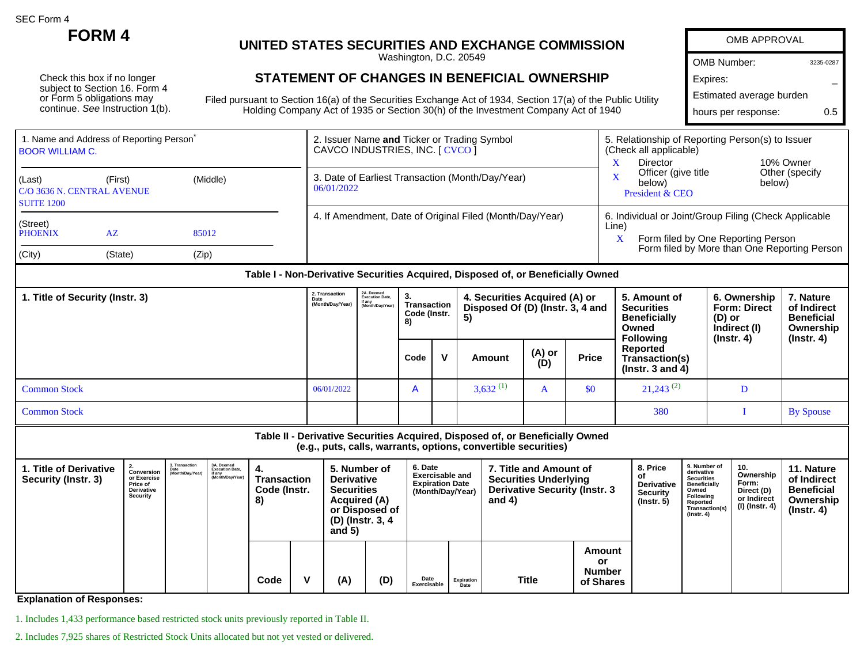SEC Form 4

Check this box if no longer subject to Section 16. Form 4 or Form 5 obligations may continue. See Instruction 1(b).

## **FORM 4 UNITED STATES SECURITIES AND EXCHANGE COMMISSION**

Washington, D.C. 20549

## **STATEMENT OF CHANGES IN BENEFICIAL OWNERSHIP**

Filed pursuant to Section 16(a) of the Securities Exchange Act of 1934, Section 17(a) of the Public Utility Holding Company Act of 1935 or Section 30(h) of the Investment Company Act of 1940

| OMB APPROVAL             |           |
|--------------------------|-----------|
| <b>OMB Number:</b>       | 3235-0287 |
| Expires:                 |           |
| Estimated average burden |           |
| hours per response:      | 05        |

| 1. Name and Address of Reporting Person <sup>®</sup><br><b>BOOR WILLIAM C.</b> |                                                                  |       |  | 2. Issuer Name and Ticker or Trading Symbol<br>CAVCO INDUSTRIES, INC. [ CVCO ] | 5. Relationship of Reporting Person(s) to Issuer<br>(Check all applicable)<br>Director<br>10% Owner                                                       |  |  |  |
|--------------------------------------------------------------------------------|------------------------------------------------------------------|-------|--|--------------------------------------------------------------------------------|-----------------------------------------------------------------------------------------------------------------------------------------------------------|--|--|--|
| (Last)<br><b>SUITE 1200</b>                                                    | (Middle)<br>(First)<br>C/O 3636 N. CENTRAL AVENUE<br>AZ<br>85012 |       |  | 3. Date of Earliest Transaction (Month/Day/Year)<br>06/01/2022                 | Other (specify<br>Officer (give title<br>X<br>below)<br>below)<br>President & CEO                                                                         |  |  |  |
| (Street)<br>PHOENIX                                                            |                                                                  |       |  | 4. If Amendment, Date of Original Filed (Month/Day/Year)                       | 6. Individual or Joint/Group Filing (Check Applicable<br>Line)<br>Form filed by One Reporting Person<br>Form filed by More than One Reporting Person<br>X |  |  |  |
| (City)                                                                         | (State)                                                          | (Zip) |  |                                                                                |                                                                                                                                                           |  |  |  |

| 1. Title of Security (Instr. 3) |            | 2A. Deemed<br>Execution Date,<br>if any<br>Month/Day/Year) | 3.<br>. Transaction<br>Code (Instr.<br>8) |  | 4. Securities Acquired (A) or<br>Disposed Of (D) (Instr. 3, 4 and<br>5) |               |              | 5. Amount of<br><b>Securities</b><br><b>Beneficially</b><br>Owned<br><b>Following</b> | 6. Ownership<br><b>Form: Direct</b><br>(D) or<br>Indirect (I)<br>$($ lnstr. 4 $)$ | 7. Nature<br>of Indirect<br><b>Beneficial</b><br>Ownership<br>(Instr. 4) |
|---------------------------------|------------|------------------------------------------------------------|-------------------------------------------|--|-------------------------------------------------------------------------|---------------|--------------|---------------------------------------------------------------------------------------|-----------------------------------------------------------------------------------|--------------------------------------------------------------------------|
|                                 |            |                                                            | Code                                      |  | Amount                                                                  | (A) or<br>(D) | <b>Price</b> | Reported<br>Transaction(s)<br>( $Instr. 3 and 4$ )                                    |                                                                                   |                                                                          |
| <b>Common Stock</b>             | 06/01/2022 |                                                            | $\overline{A}$                            |  | $3,632$ <sup>(1)</sup>                                                  | A             | \$0          | $21,243^{(2)}$                                                                        |                                                                                   |                                                                          |
| <b>Common Stock</b>             |            |                                                            |                                           |  |                                                                         |               |              | 380                                                                                   |                                                                                   | <b>By Spouse</b>                                                         |

**Table II - Derivative Securities Acquired, Disposed of, or Beneficially Owned (e.g., puts, calls, warrants, options, convertible securities)**

| I. Title of Derivative<br>Security (Instr. 3) | Conversion<br>or Exercise<br><b>Price of</b><br><b>Derivative</b><br>Security | 3. Transaction<br>Date<br>(Month/Day/Year) | 3A. Deemed<br>Execution Date,<br>if any<br>(Month/Day/Year) | -4.<br><b>Transaction</b><br>Code (Instr.<br>8) |   | 5. Number of<br><b>Derivative</b><br><b>Securities</b><br>Acquired (A)<br>or Disposed of<br>(D) (Instr. 3, 4<br>and $5)$ |     | 6. Date<br><b>Exercisable and</b><br><b>Expiration Date</b><br>(Month/Day/Year) |                    | 7. Title and Amount of<br><b>Securities Underlying</b><br><b>Derivative Security (Instr. 3</b><br>and $4)$ |                                            | 8. Price<br>οt<br>Derivative<br><b>Security</b><br>$($ lnstr. 5 $)$ | 9. Number of<br>derivative<br><b>Securities</b><br><b>Beneficially</b><br>Owned<br>Following<br>Reported<br>Transaction(s)<br>(Instr. 4) | 10.<br>Ownership<br>Form:<br>Direct (D)<br>or Indirect<br>(I) (Instr. 4) | 11. Nature<br>of Indirect<br><b>Beneficial</b><br>Ownership<br>(Instr. 4) |
|-----------------------------------------------|-------------------------------------------------------------------------------|--------------------------------------------|-------------------------------------------------------------|-------------------------------------------------|---|--------------------------------------------------------------------------------------------------------------------------|-----|---------------------------------------------------------------------------------|--------------------|------------------------------------------------------------------------------------------------------------|--------------------------------------------|---------------------------------------------------------------------|------------------------------------------------------------------------------------------------------------------------------------------|--------------------------------------------------------------------------|---------------------------------------------------------------------------|
|                                               |                                                                               |                                            |                                                             | Code                                            | v | (A)                                                                                                                      | (D) | Date<br>Exercisable                                                             | Expiration<br>Date | <b>Title</b>                                                                                               | Amount<br>or<br><b>Number</b><br>of Shares |                                                                     |                                                                                                                                          |                                                                          |                                                                           |

**Explanation of Responses:**

1. Includes 1,433 performance based restricted stock units previously reported in Table II.

2. Includes 7,925 shares of Restricted Stock Units allocated but not yet vested or delivered.